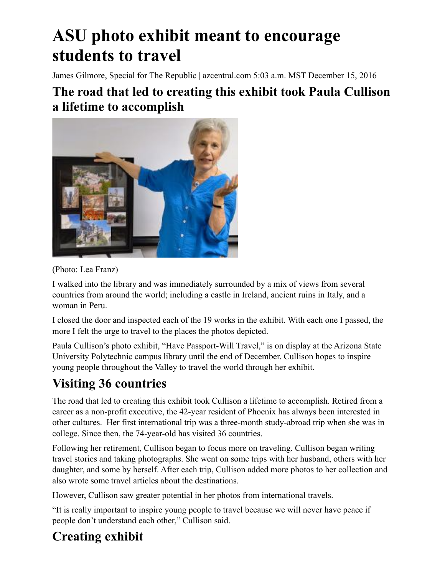# **ASU photo exhibit meant to encourage students to travel**

James Gilmore, Special for The Republic | azcentral.com 5:03 a.m. MST December 15, 2016

#### **The road that led to creating this exhibit took Paula Cullison a lifetime to accomplish**



(Photo: Lea Franz)

I walked into the library and was immediately surrounded by a mix of views from several countries from around the world; including a castle in Ireland, ancient ruins in Italy, and a woman in Peru.

I closed the door and inspected each of the 19 works in the exhibit. With each one I passed, the more I felt the urge to travel to the places the photos depicted.

Paula Cullison's photo exhibit, "Have Passport-Will Travel," is on display at the Arizona State University Polytechnic campus library until the end of December. Cullison hopes to inspire young people throughout the Valley to travel the world through her exhibit.

## **Visiting 36 countries**

The road that led to creating this exhibit took Cullison a lifetime to accomplish. Retired from a career as a non-profit executive, the 42-year resident of Phoenix has always been interested in other cultures. Her first international trip was a three-month study-abroad trip when she was in college. Since then, the 74-year-old has visited 36 countries.

Following her retirement, Cullison began to focus more on traveling. Cullison began writing travel stories and taking photographs. She went on some trips with her husband, others with her daughter, and some by herself. After each trip, Cullison added more photos to her collection and also wrote some travel articles about the destinations.

However, Cullison saw greater potential in her photos from international travels.

"It is really important to inspire young people to travel because we will never have peace if people don't understand each other," Cullison said.

## **Creating exhibit**